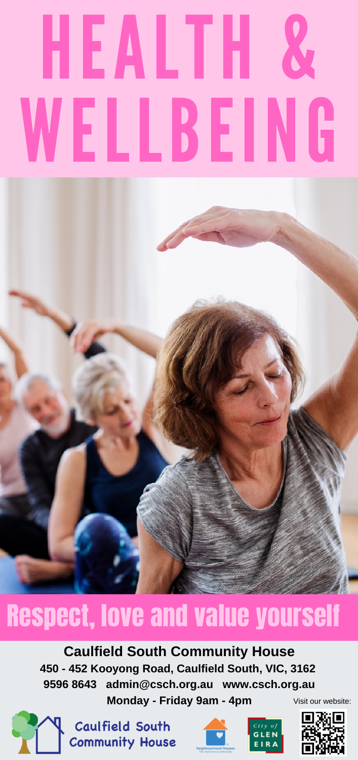# HEALTH & WELLBEING

## Respect, love and value yourself

#### **Caulfield South Community House 450 - 452 Kooyong Road, Caulfield South, VIC, 3162 9596 8643 admin@csch.org.au www.csch.org.au**

**Monday - Friday 9am - 4pm** Visit our website:



Caulfield South **Community House**